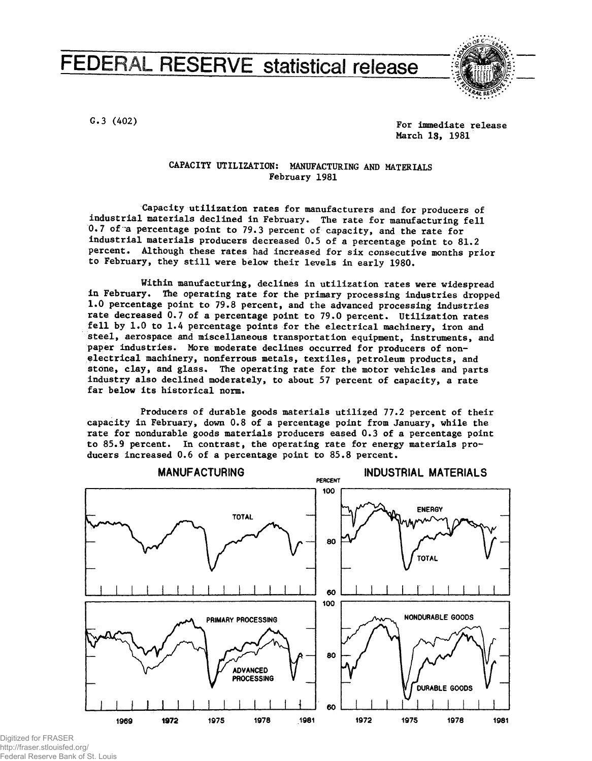# **FEDERAL RESERVE statistical release**



G.3 (402) G.3 (402) March 18, 1981

#### CAPACITY UTILIZATION: MANUFACTURING AND MATERIALS February 1981

Capacity utilization rates for manufacturers and for producers of industrial materials declined in February. The rate for manufacturing fell 0.7 of a percentage point to 79.3 percent of capacity, and the rate for industrial materials producers decreased 0.5 of a percentage point to 81.2 percent. Although these rates had increased for six consecutive months prior to February, they still were below their levels in early 1980.

Within manufacturing, declines in utilization rates were widespread in February. The operating rate for the primary processing industries dropped 1.0 percentage point to 79.8 percent, and the advanced processing industries rate decreased 0.7 of a percentage point to 79.0 percent. Utilization rates fell by 1.0 to 1.4 percentage points for the electrical machinery, iron and steel, aerospace and miscellaneous transportation equipment, instruments, and paper industries. More moderate declines occurred for producers of nonelectrical machinery, nonferrous metals, textiles, petroleum products, and stone, clay, and glass. The operating rate for the motor vehicles and parts industry also declined moderately, to about 57 percent of capacity, a rate far below its historical norm.

Producers of durable goods materials utilized 77.2 percent of their capacity in February, down 0.8 of a percentage point from January, while the rate for nondurable goods materials producers eased 0.3 of a percentage point to 85.9 percent. In contrast, the operating rate for energy materials producers increased  $0.6$  of a percentage point to 85.8 percent.



Digitized for FRASER http://fraser.stlouisfed.org/ Federal Reserve Bank of St. Louis